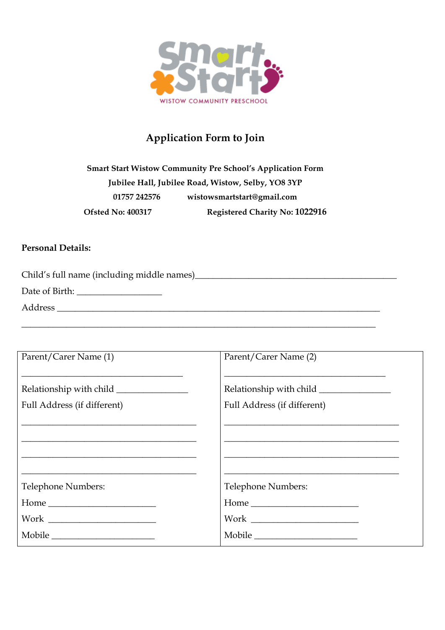

## **Application Form to Join**

**Smart Start Wistow Community Pre School's Application Form Jubilee Hall, Jubilee Road, Wistow, Selby, YO8 3YP 01757 242576 wistowsmartstart@gmail.com Ofsted No: 400317 Registered Charity No: 1022916**

\_\_\_\_\_\_\_\_\_\_\_\_\_\_\_\_\_\_\_\_\_\_\_\_\_\_\_\_\_\_\_\_\_\_\_\_\_\_\_\_\_\_\_\_\_\_\_\_\_\_\_\_\_\_\_\_\_\_\_\_\_\_\_\_\_\_\_\_\_\_\_\_\_\_\_\_\_\_\_

## **Personal Details:**

Child's full name (including middle names)\_\_\_\_\_\_\_\_\_\_\_\_\_\_\_\_\_\_\_\_\_\_\_\_\_\_\_\_\_\_\_\_\_\_\_\_\_\_\_\_\_\_\_\_\_

Date of Birth: \_\_\_\_\_\_\_\_\_\_\_\_\_\_\_\_\_\_\_

Address \_\_\_\_\_\_\_\_\_\_\_\_\_\_\_\_\_\_\_\_\_\_\_\_\_\_\_\_\_\_\_\_\_\_\_\_\_\_\_\_\_\_\_\_\_\_\_\_\_\_\_\_\_\_\_\_\_\_\_\_\_\_\_\_\_\_\_\_\_\_\_\_

| Parent/Carer Name (1)       | Parent/Carer Name (2)       |
|-----------------------------|-----------------------------|
|                             |                             |
| Full Address (if different) | Full Address (if different) |
|                             |                             |
|                             |                             |
|                             |                             |
| Telephone Numbers:          | Telephone Numbers:          |
|                             |                             |
|                             |                             |
| Mobile                      | Mobile                      |